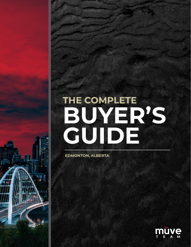# **THE COMPLETE BUYER'S GUIDE**

**EDMONTON, ALBERTA**

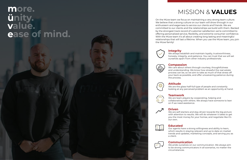**Integrity**

We always establish and maintain loyalty, trustworthiness, honesty, integrity, and patience. You can trust that we will set ourselves apart from other industry professionals.

### **Compassion**

We care about others through courtesy, thoughtfulness and understanding. We know how stressful the real estate process can be, so we aim to take as much of that stress off your back as possible, and offer unwaivering patience during

the process.

## **Attitude**

We are the glass-half-full type of people and constantly looking at any perceived problem as an opportunity at hand.

## **Teamwork**

We are team players by cooperating, helping and collaborating with others. We always have someone to lean on if we need assistance.



**Driven** We are self-starters and stay driven towards the big picture with attention to results. We will do whatever it takes to get you the most money for your homse, and negotiate like it's

our own.

### **Educated**

Our agents have a strong willingness and ability to learn, which results in staying relevant and up to date on market trends and updates, marketing concepts, and serving you as a client.

### **Communication**



We pride ourselves on our communication. We always aim to be strong communicators in all scenarios, no matter the circumstances.





## MISSION & **VALUES**

# **more. ünity. value. ease of mind.**



On the Müve team we focus on maintaining a very strong team culture. We believe that a strong culture on our team will show through in our enthusiasm and eagerness to service our clients and friends. We are committed to our clients and the relationships we build with them. Backed by the strongest track record of customer satisfaction we're committed to offering personalized service, flexibility, and extreme consumer confidence. With the Müve team it's all about creating long lasting and meaningful relationships that will last a lifetime. When you use the Müve team, you join the Müve family!

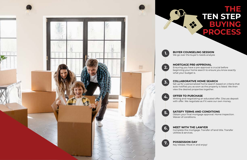# **THE TEN STEP BUYING PROCESS**

#### **BUYER COUNSELING SESSION**

We go over the buyer's needs analysis

#### **MORTGAGE PRE-APPROVAL**

Ensuring you have a pre-approval is crucial before beginning your home search to ensure you know exactly what your budget is.

#### **COLLABORATIVE HOME SEARCH**

Set up for a personalized home search based on criteria that auto-notifies you as soon as the property is listed. We then view the desired properties together.

#### **OFFER TO PURCHASE**

Writing and negotiating an educated offer. Discuss deposit with offer. We negotiate as if it were our own money.

#### **SATISFY TERMS AND CONDITIONS**

Obtain your final mortgage approval. Home inspection. Waiver of conditions.

#### **MEET WITH THE LAWYER**

Complete the mortgage. Transfer of land title. Transfer utilities & services.

#### **POSSESSION DAY**

Key release. Müve in and enjoy!

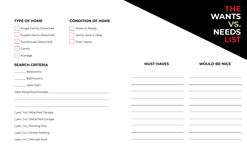

## **THE WANTS VS. NEEDS LIST**

## **WOULD-BE-NICE**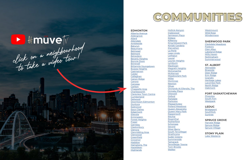

 $1.1.1.1.1.1$ 



[Alberta Avenue](https://www.youtube.com/watch?v=Z2tCUOlTvlI&list=PLvHIupNl0S_A3gX-zIzodtWdwgg36x7w5&index=45) [Aldergrove](https://www.youtube.com/watch?v=S0yrq1yqSyw&list=PLvHIupNl0S_A3gX-zIzodtWdwgg36x7w5&index=62) [Allard](https://www.youtube.com/watch?v=Kh99ZMc9Jxg&list=PLvHIupNl0S_A3gX-zIzodtWdwgg36x7w5&index=82) [Allendale](https://youtu.be/ABznRUZ0G00?list=PLvHIupNl0S_A3gX-zIzodtWdwgg36x7w5) [Ambleside](https://youtu.be/9pUBpo8p_OI?list=PLvHIupNl0S_A3gX-zIzodtWdwgg36x7w5) [Baturyn](https://www.youtube.com/watch?v=Lcm5Y0v_ojo&list=PLvHIupNl0S_A3gX-zIzodtWdwgg36x7w5&index=68) **[Beaumaris](https://www.youtube.com/watch?v=KdW64e0j61A&list=PLvHIupNl0S_A3gX-zIzodtWdwgg36x7w5&index=69)** [Belmead](https://www.youtube.com/watch?v=MyShE3ZCOrw&list=PLvHIupNl0S_A3gX-zIzodtWdwgg36x7w5&index=63) [Belmont](https://www.youtube.com/watch?v=ormF3rv8sVU&list=PLvHIupNl0S_A3gX-zIzodtWdwgg36x7w5&index=80) [Belvedere](https://youtu.be/01IBoCn1Soo?list=PLvHIupNl0S_A3gX-zIzodtWdwgg36x7w5) [Beverly Heights](https://www.youtube.com/watch?v=CDpAY9FryOs&list=PLvHIupNl0S_A3gX-zIzodtWdwgg36x7w5&index=41) [Bonnie Doon](https://youtu.be/La3q0kUGxgQ?list=PLvHIupNl0S_A3gX-zIzodtWdwgg36x7w5) [Brintnell](https://youtu.be/enssiGANR7k?list=PLvHIupNl0S_A3gX-zIzodtWdwgg36x7w5) [Britannia Youngstown](https://youtu.be/ub_DMDJyV4s?list=PLvHIupNl0S_A3gX-zIzodtWdwgg36x7w5) [Bulyea Heights](https://www.youtube.com/watch?v=JDWiqPuwNvY&list=PLvHIupNl0S_A3gX-zIzodtWdwgg36x7w5&index=83) **[Caernarvon](https://www.youtube.com/watch?v=UqvragP5VXY&list=PLvHIupNl0S_A3gX-zIzodtWdwgg36x7w5&index=75)** [Calder](https://www.youtube.com/watch?v=tqSJ6XanyyI&list=PLvHIupNl0S_A3gX-zIzodtWdwgg36x7w5&index=74) [Callaghan](https://www.youtube.com/watch?v=J9IQ9cKBEs0&list=PLvHIupNl0S_A3gX-zIzodtWdwgg36x7w5&index=84) [Canon Ridge](https://www.youtube.com/watch?v=IU5AM7945S4&list=PLvHIupNl0S_A3gX-zIzodtWdwgg36x7w5&index=81) [Canora](https://www.youtube.com/watch?v=k24Q_t6TfnU&list=PLvHIupNl0S_A3gX-zIzodtWdwgg36x7w5&index=8) [Canossa](https://www.youtube.com/watch?v=JrDFTmUQ1nA&list=PLvHIupNl0S_A3gX-zIzodtWdwgg36x7w5&index=70) **[Carlton](https://www.youtube.com/watch?v=pluAAEpnVEc&list=PLvHIupNl0S_A3gX-zIzodtWdwgg36x7w5&index=76)** [Chappelle Area](https://www.youtube.com/watch?v=nUrPQ_mSzxY&list=PLvHIupNl0S_A3gX-zIzodtWdwgg36x7w5&index=9) **[Charlesworth](https://www.youtube.com/watch?v=WRBVK9UDXgU&list=PLvHIupNl0S_A3gX-zIzodtWdwgg36x7w5&index=85)** [Clareview Town Centre](https://www.youtube.com/watch?v=ITalNbRVM6w&list=PLvHIupNl0S_A3gX-zIzodtWdwgg36x7w5&index=78) **[Cumberland](https://www.youtube.com/watch?v=5XR8XujNyoE&list=PLvHIupNl0S_A3gX-zIzodtWdwgg36x7w5&index=77)** [Delwood](https://www.youtube.com/watch?v=SjwWX798XJ4&list=PLvHIupNl0S_A3gX-zIzodtWdwgg36x7w5&index=52) [Downtown Edmonton](https://www.youtube.com/watch?v=xiV-RJagIMM&list=PLvHIupNl0S_A3gX-zIzodtWdwgg36x7w5&index=10) **[Dunluce](https://www.youtube.com/watch?v=wGAm2QouiZ0&list=PLvHIupNl0S_A3gX-zIzodtWdwgg36x7w5&index=71)** [Eastwood](https://www.youtube.com/watch?v=3HiiIXjS1Jw&list=PLvHIupNl0S_A3gX-zIzodtWdwgg36x7w5&index=42) [Eaux Claires](https://www.youtube.com/watch?v=y3dbH4t3leE&list=PLvHIupNl0S_A3gX-zIzodtWdwgg36x7w5&index=54) [Edgemont](https://www.youtube.com/watch?v=yE0hgjIoNr0&list=PLvHIupNl0S_A3gX-zIzodtWdwgg36x7w5&index=11) [Ellerslie](https://www.youtube.com/watch?v=2PwWRWFAcb4&list=PLvHIupNl0S_A3gX-zIzodtWdwgg36x7w5&index=86) [Ermineskin](https://www.youtube.com/watch?v=IDkDOO3LsVQ&list=PLvHIupNl0S_A3gX-zIzodtWdwgg36x7w5&index=87) [Forest Heights](https://www.youtube.com/watch?v=QJFgNceK5ts&list=PLvHIupNl0S_A3gX-zIzodtWdwgg36x7w5&index=12) **[Fraser](https://www.youtube.com/watch?v=aXVjEbyAXGg&list=PLvHIupNl0S_A3gX-zIzodtWdwgg36x7w5&index=79)** [Garneau](https://www.youtube.com/watch?v=9oO8Ui_5Nys&list=PLvHIupNl0S_A3gX-zIzodtWdwgg36x7w5&index=14) **[Glastonbury](https://www.youtube.com/watch?v=FmJHkOCsSy8&list=PLvHIupNl0S_A3gX-zIzodtWdwgg36x7w5&index=13)** [Glenora](https://youtu.be/HLQgN6kVJJI?list=PLvHIupNl0S_A3gX-zIzodtWdwgg36x7w5) [Glenridding Area](https://www.youtube.com/watch?v=bUSgGPJoGeE&list=PLvHIupNl0S_A3gX-zIzodtWdwgg36x7w5&index=15) [Glenwood](https://www.youtube.com/watch?v=0jjn5jwI0wk&list=PLvHIupNl0S_A3gX-zIzodtWdwgg36x7w5&index=16) **[Greenfield](https://www.youtube.com/watch?v=w30HxxGXxcU&list=PLvHIupNl0S_A3gX-zIzodtWdwgg36x7w5&index=88)** [Grovenor](https://www.youtube.com/watch?v=x-0zvakYpEw&list=PLvHIupNl0S_A3gX-zIzodtWdwgg36x7w5&index=17) **[Haddow](https://www.youtube.com/watch?v=3-YHYsWukek&list=PLvHIupNl0S_A3gX-zIzodtWdwgg36x7w5&index=89)** [Hamptons, The](https://www.youtube.com/watch?v=NSV0yylJjMY&list=PLvHIupNl0S_A3gX-zIzodtWdwgg36x7w5&index=18) [Hazeldean](https://www.youtube.com/watch?v=ikYhXVHRI7M&list=PLvHIupNl0S_A3gX-zIzodtWdwgg36x7w5&index=19) **[Highlands](https://www.youtube.com/watch?v=9dplvq7tHzM&list=PLvHIupNl0S_A3gX-zIzodtWdwgg36x7w5&index=43)** 

# COMMUNITIES COMMUNITIES

#### **EDMONTON**

[Hollick-Kenyon](https://www.youtube.com/watch?v=mAL0fRmoXW4&list=PLvHIupNl0S_A3gX-zIzodtWdwgg36x7w5&index=20) [Inglewood](https://www.youtube.com/watch?v=u5j1btVVmhY&list=PLvHIupNl0S_A3gX-zIzodtWdwgg36x7w5&index=40) [Jamieson Place](https://www.youtube.com/watch?v=zkHocjrXEMc&list=PLvHIupNl0S_A3gX-zIzodtWdwgg36x7w5&index=64) [Kildare](https://www.youtube.com/watch?v=f5bM-oPzldg) [Kilkenny](https://www.youtube.com/watch?v=BkV4hr0WUjk&list=PLvHIupNl0S_A3gX-zIzodtWdwgg36x7w5&index=50) [King Edward Park](https://www.youtube.com/watch?v=pfF5aD0leWA&list=PLvHIupNl0S_A3gX-zIzodtWdwgg36x7w5&index=21) [Kiniski Gardens](https://www.youtube.com/watch?v=nX0OuEC4JtQ&list=PLvHIupNl0S_A3gX-zIzodtWdwgg36x7w5&index=90) [Klarvatten](https://www.youtube.com/watch?v=y4JMJZztxTE&list=PLvHIupNl0S_A3gX-zIzodtWdwgg36x7w5&index=49) [La Perle](https://www.youtube.com/watch?v=kAfiDY3e5xc&list=PLvHIupNl0S_A3gX-zIzodtWdwgg36x7w5&index=65) [Lago Lindo](https://www.youtube.com/watch?v=1txtHuKJurk&list=PLvHIupNl0S_A3gX-zIzodtWdwgg36x7w5&index=48) **[Larkspur](https://www.youtube.com/watch?v=ZrWIzRVImvA&list=PLvHIupNl0S_A3gX-zIzodtWdwgg36x7w5&index=93)** [Laurel](https://www.youtube.com/watch?v=tsG80jOwSPA&list=PLvHIupNl0S_A3gX-zIzodtWdwgg36x7w5&index=92) [Laurier Heights](https://www.youtube.com/watch?v=MCNQlzs3OH0&list=PLvHIupNl0S_A3gX-zIzodtWdwgg36x7w5&index=22) [Lymburn](https://www.youtube.com/watch?v=FAab9Wd0k2g&list=PLvHIupNl0S_A3gX-zIzodtWdwgg36x7w5&index=67) [MacEwan](https://www.youtube.com/watch?v=6ZKmiq3uqy0&list=PLvHIupNl0S_A3gX-zIzodtWdwgg36x7w5&index=91) [Magrath Heights](https://www.youtube.com/watch?v=3INHTbMelRM&list=PLvHIupNl0S_A3gX-zIzodtWdwgg36x7w5&index=94) **[McConachie](https://www.youtube.com/watch?v=SmaeGaKl1UU&list=PLvHIupNl0S_A3gX-zIzodtWdwgg36x7w5&index=23)** [McKernan](https://www.youtube.com/watch?v=1nXKWDRvicU&list=PLvHIupNl0S_A3gX-zIzodtWdwgg36x7w5&index=24) [Meadowlark Park](https://www.youtube.com/watch?v=jCBuEkL1CPM&list=PLvHIupNl0S_A3gX-zIzodtWdwgg36x7w5&index=25) [Miller](https://www.youtube.com/watch?v=i92Jc56RUPA&list=PLvHIupNl0S_A3gX-zIzodtWdwgg36x7w5&index=26) [Montrose](https://www.youtube.com/watch?v=aAo3U24xf4U&list=PLvHIupNl0S_A3gX-zIzodtWdwgg36x7w5&index=47) **[Newton](https://www.youtube.com/watch?v=SDgRJA1XPXs&list=PLvHIupNl0S_A3gX-zIzodtWdwgg36x7w5&index=46) [Oliver](https://www.youtube.com/watch?v=CwmcwX55G1U&list=PLvHIupNl0S_A3gX-zIzodtWdwgg36x7w5&index=27)** [Orchards At Ellerslie, The](https://www.youtube.com/watch?v=yfAjGj1JkDc&list=PLvHIupNl0S_A3gX-zIzodtWdwgg36x7w5&index=99) [Ormsby Place](https://www.youtube.com/watch?v=KR6cFvbz70A&list=PLvHIupNl0S_A3gX-zIzodtWdwgg36x7w5&index=66) **[Ottewell](https://www.youtube.com/watch?v=TtbSXq-7RT0&list=PLvHIupNl0S_A3gX-zIzodtWdwgg36x7w5&index=28) [Oxford](https://www.youtube.com/watch?v=Wfpca2ncfZo&list=PLvHIupNl0S_A3gX-zIzodtWdwgg36x7w5&index=73)** [Parkdale](https://www.youtube.com/watch?v=wmFCiUz-SbU&list=PLvHIupNl0S_A3gX-zIzodtWdwgg36x7w5&index=44) **[Parkview](https://www.youtube.com/watch?v=z83LXTw-0kY&list=PLvHIupNl0S_A3gX-zIzodtWdwgg36x7w5&index=29)** [Pleasantview](https://www.youtube.com/watch?v=syar3DJvsxw&list=PLvHIupNl0S_A3gX-zIzodtWdwgg36x7w5&index=30) [Pollard Meadows](https://www.youtube.com/watch?v=3UF2orLdX_8&list=PLvHIupNl0S_A3gX-zIzodtWdwgg36x7w5&index=111) [Queen Alexandra](https://www.youtube.com/watch?v=ggdcE7FnPGA&list=PLvHIupNl0S_A3gX-zIzodtWdwgg36x7w5&index=31) [Queen Mary Park](https://www.youtube.com/watch?v=vYjenvYr37k&list=PLvHIupNl0S_A3gX-zIzodtWdwgg36x7w5&index=32) [Rapperswill](https://www.youtube.com/watch?v=-XXo_3kLGkM&list=PLvHIupNl0S_A3gX-zIzodtWdwgg36x7w5&index=72) [Ritchie](https://www.youtube.com/watch?v=VPS99tpOM4M&list=PLvHIupNl0S_A3gX-zIzodtWdwgg36x7w5&index=33) [Rosenthal](https://www.youtube.com/watch?v=XhCQgRf_XDk&list=PLvHIupNl0S_A3gX-zIzodtWdwgg36x7w5&index=34) [Rutherford](https://www.youtube.com/watch?v=b__Nqb_fy-s&list=PLvHIupNl0S_A3gX-zIzodtWdwgg36x7w5&index=110) [Schonsee](https://www.youtube.com/watch?v=0h_62bNQ0bg&list=PLvHIupNl0S_A3gX-zIzodtWdwgg36x7w5&index=53) **[Secord](https://www.youtube.com/watch?v=IQPprMe-WUU&list=PLvHIupNl0S_A3gX-zIzodtWdwgg36x7w5&index=35) [Silver Berry](https://www.youtube.com/watch?v=y8_V2K1Vpzo&list=PLvHIupNl0S_A3gX-zIzodtWdwgg36x7w5&index=109)** [South Terwillegar](https://www.youtube.com/watch?v=xGRGuGnHQko&list=PLvHIupNl0S_A3gX-zIzodtWdwgg36x7w5&index=107) **[Strathcona](https://www.youtube.com/watch?v=qp1ad1iDpkQ&list=PLvHIupNl0S_A3gX-zIzodtWdwgg36x7w5&index=36)** [Suder Greens](https://www.youtube.com/watch?v=I3DqLdfhUQw&list=PLvHIupNl0S_A3gX-zIzodtWdwgg36x7w5&index=37) **[Summerside](https://www.youtube.com/watch?v=-sFrYcyEP74&list=PLvHIupNl0S_A3gX-zIzodtWdwgg36x7w5&index=103) [Tamarack](https://www.youtube.com/watch?v=6aDeXqEYn_o&list=PLvHIupNl0S_A3gX-zIzodtWdwgg36x7w5&index=101)** [Terwillegar Towne](https://www.youtube.com/watch?v=u5-JdQQ3YyQ&list=PLvHIupNl0S_A3gX-zIzodtWdwgg36x7w5&index=100) [Twin Brooks](https://www.youtube.com/watch?v=7gSjosr5XhM&list=PLvHIupNl0S_A3gX-zIzodtWdwgg36x7w5&index=98) **[Walker](https://www.youtube.com/watch?v=Dx7LB-LzfJ0&list=PLvHIupNl0S_A3gX-zIzodtWdwgg36x7w5&index=97)** 

**[Westmount](https://www.youtube.com/watch?v=cFAFrI_DQ5c&list=PLvHIupNl0S_A3gX-zIzodtWdwgg36x7w5&index=39)** [Wild Rose](https://www.youtube.com/watch?v=fER7O3GH4ZY&list=PLvHIupNl0S_A3gX-zIzodtWdwgg36x7w5&index=95) [Windermere](https://www.youtube.com/watch?v=8Z0yzrJ6Mow&list=PLvHIupNl0S_A3gX-zIzodtWdwgg36x7w5&index=38)

[Pineview](https://www.youtube.com/watch?v=eWyvNuha-RY&list=PLvHIupNl0S_A3gX-zIzodtWdwgg36x7w5&index=112) [South Fort](https://www.youtube.com/watch?v=3Plzn7huJxg&list=PLvHIupNl0S_A3gX-zIzodtWdwgg36x7w5&index=108) **[Westpark](https://www.youtube.com/watch?v=NrsOqGIeGkY&list=PLvHIupNl0S_A3gX-zIzodtWdwgg36x7w5&index=96)** 

#### **SHERWOOD PARK**

[Clarkdale Meadows](https://www.youtube.com/watch?v=kXU66YPVd3M&list=PLvHIupNl0S_A3gX-zIzodtWdwgg36x7w5&index=57) [Foxboro](https://www.youtube.com/watch?v=let4qOf8Uug&list=PLvHIupNl0S_A3gX-zIzodtWdwgg36x7w5&index=61) [Glen Allan](https://www.youtube.com/watch?v=vb8nvs7arjY&list=PLvHIupNl0S_A3gX-zIzodtWdwgg36x7w5&index=56) [Lakeland Ridge](https://www.youtube.com/watch?v=CYjDSY_Xq7U&list=PLvHIupNl0S_A3gX-zIzodtWdwgg36x7w5&index=60) [Mills Haven](https://www.youtube.com/watch?v=EMwrGIj3P7k&list=PLvHIupNl0S_A3gX-zIzodtWdwgg36x7w5&index=59) [Nottingham](https://www.youtube.com/watch?v=iOqHolsKoDo&list=PLvHIupNl0S_A3gX-zIzodtWdwgg36x7w5&index=55) [Summerwood](https://www.youtube.com/watch?v=Z1klIuXmqSY&list=PLvHIupNl0S_A3gX-zIzodtWdwgg36x7w5&index=58)

**ST. ALBERT**

[Akinsdale](https://www.youtube.com/watch?v=wLc23LCNMbU&list=PLvHIupNl0S_A3gX-zIzodtWdwgg36x7w5&index=124) [Braeside](https://www.youtube.com/watch?v=CVQDPf9xETU&list=PLvHIupNl0S_A3gX-zIzodtWdwgg36x7w5&index=123) [Deer Ridge](https://www.youtube.com/watch?v=QDP8wWKVO9c&list=PLvHIupNl0S_A3gX-zIzodtWdwgg36x7w5&index=121) [Erin Ridge](https://www.youtube.com/watch?v=cTukyu-Ljyw&list=PLvHIupNl0S_A3gX-zIzodtWdwgg36x7w5&index=120) [Grandin](https://www.youtube.com/watch?v=0c2GAxoBz6I&list=PLvHIupNl0S_A3gX-zIzodtWdwgg36x7w5&index=119) [Heritage Lakes](https://www.youtube.com/watch?v=C0O4bC4GEPc&list=PLvHIupNl0S_A3gX-zIzodtWdwgg36x7w5&index=118) [Lacombe Park](https://www.youtube.com/watch?v=IVgRONaB40Y&list=PLvHIupNl0S_A3gX-zIzodtWdwgg36x7w5&index=117) [North Ridge](https://www.youtube.com/watch?v=WWFw3IkZUIg&list=PLvHIupNl0S_A3gX-zIzodtWdwgg36x7w5&index=114) [Oakmont](https://www.youtube.com/watch?v=YMX9pytTZic&list=PLvHIupNl0S_A3gX-zIzodtWdwgg36x7w5&index=113)

#### **FORT SASKATCHEWAN**

#### **LEDUC**

[Bridgeport](https://www.youtube.com/watch?v=gJJLNznQU4A&list=PLvHIupNl0S_A3gX-zIzodtWdwgg36x7w5&index=122) **[Southfork](https://www.youtube.com/watch?v=6Hz3IYO-IXo&list=PLvHIupNl0S_A3gX-zIzodtWdwgg36x7w5&index=106)** [Suntree](https://www.youtube.com/watch?v=_u_Fo43WIvQ&list=PLvHIupNl0S_A3gX-zIzodtWdwgg36x7w5&index=102)

#### **SPRUCE GROVE**

[Harvest Ridge](https://www.youtube.com/watch?v=bbhEfY-5EQk&list=PLvHIupNl0S_A3gX-zIzodtWdwgg36x7w5&index=116) [Spruce Ridge](https://www.youtube.com/watch?v=oM9UjS8J-yI&list=PLvHIupNl0S_A3gX-zIzodtWdwgg36x7w5&index=105) [Spruce Village](https://www.youtube.com/watch?v=VytXZk4N7uk&list=PLvHIupNl0S_A3gX-zIzodtWdwgg36x7w5&index=104)

#### **STONY PLAIN**

[Lake Westerra](https://www.youtube.com/watch?v=8X9f53VgZ38&list=PLvHIupNl0S_A3gX-zIzodtWdwgg36x7w5&index=115)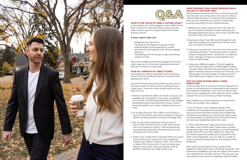#### **WHAT IS THE VALUE OF USING A BUYERS AGENT?**

In real estate, one of the biggest "wow I didn't know that" moments is that they didn't know that you didn't have to pay for a buyers REALTOR® when buying a home.

#### **A buyer agent helps you:**

- Negotiate the right price
- Facilitate all the steps to buying a home
- Help facilitate home inspections, condo documents, and helping with final mortgage approval
- Facilitating with the lawyer to get everything closed on time

With their neighbourhood knowledge, they know what's going on in the local neighbourhood and they are an expert on your side.

#### **HOW DO I IMPROVE MY CREDIT SCORE?**

Having good credit is essential if you're planning to buy a home, so follow these four tips and start slaying your score.

If you're thinking of buying a home at any point in the near future, it's time to start working on your credit score. There are a few simple steps you can take to do so:

#### **WHAT MISTAKES CAN I AVOID WHEN BUYING & SELLING AT THE SAME TIME?**

Many people choose to sell their current home and buy the next one at the same time, but it's often a complicated process. To avoid any extra problems, here are four mistakes you want to avoid when buying and selling homes simultaneously:

- 1. Shoot for perfection. 850 is the best score you can possibly get, and while it may seem completely out of reach, it's definitely attainable. If you budget carefully and pay close attention to your overall financial health, you'll reach a higher score in no time. a report for you in summary of their findings. Why is getting a home inspection so important? There are actually a few reasons: 1. You will have a clear understanding of the
- 2. Or at least shoot for 750. If 850 is out of reach, a score of 750 will be more than enough to help you obtain the best possible monthly mortgage rate.
- 3. Set up automatic payments. Did you know that a major portion of your credit score comes from your payment history? Having payments automatically deducted will keep you punctual and keep your score high.
- 4. Watch your credit limits. If lenders think you aren't living within your means, this may negatively impact your ability to obtain a loan. Try to stay at or below 30% of your limit. If you can keep your balance even lower, then you should have no problem keeping up a high credit score. seller and renegotiate. You can ask for a credit or a price reduction depending on the severity of the problems. Now, why is it important to hire a good home

- 1. Waiting too long to prep the home for sale. Fix up minor paint scratches, broken decking, and damaged bathroom grout. Don't wait until the last minute to start the process!
- 2. Buying too big. If you fail to go through the preapproval process, you won't know exactly what you can (and can't) afford.
- 3. Failing to compromise. You're not the only one in a stressful situation. If someone needs to adjust a date, renegotiate their conditions, or make any other changes, it's best to work together and make compromises.
- 4. Using two different agents. If you're juggling both a buyer's agent and a listing agent, things can get messy. Simplify the process by using one agent instead. If you're moving out of the city, your listing agent should be able to help you find a reputable buyer's agent in your new location.

#### **WHY DO HOME BUYERS NEED A HOME INSPECTION?**

A home inspection is when you hire an inspector to come to a property you're interested in purchasing and inspect everything—from the roof all the way down to your appliances. The inspector then creates

condition of the property. No property is perfect, and you'll find that there will be a list of deferred maintenance projects; you want to be able to plan for these repairs, so getting that list ahead of time will save you headaches down the road.

2. There may be some major issues that should be taken care of right away. These issues include things like major roof, plumbing, or accommodation issues, all of which can be costly to fix. Figuring out these issues will enable you to go back to the

inspector? Well, you'll want a thorough inspector who will remain available to go over the report and answer your questions in a timely manner. That way, you can use what's on the report to negotiate with the seller.





![](_page_5_Picture_1.jpeg)